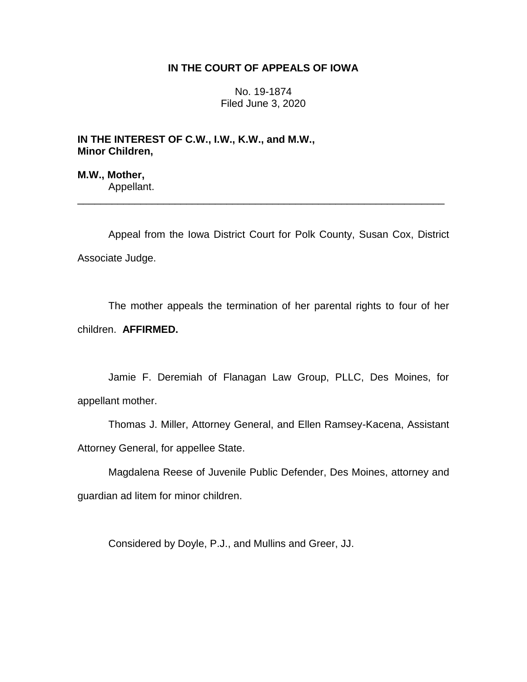## **IN THE COURT OF APPEALS OF IOWA**

No. 19-1874 Filed June 3, 2020

**IN THE INTEREST OF C.W., I.W., K.W., and M.W., Minor Children,**

**M.W., Mother,** Appellant.

Appeal from the Iowa District Court for Polk County, Susan Cox, District Associate Judge.

\_\_\_\_\_\_\_\_\_\_\_\_\_\_\_\_\_\_\_\_\_\_\_\_\_\_\_\_\_\_\_\_\_\_\_\_\_\_\_\_\_\_\_\_\_\_\_\_\_\_\_\_\_\_\_\_\_\_\_\_\_\_\_\_

The mother appeals the termination of her parental rights to four of her children. **AFFIRMED.**

Jamie F. Deremiah of Flanagan Law Group, PLLC, Des Moines, for appellant mother.

Thomas J. Miller, Attorney General, and Ellen Ramsey-Kacena, Assistant Attorney General, for appellee State.

Magdalena Reese of Juvenile Public Defender, Des Moines, attorney and guardian ad litem for minor children.

Considered by Doyle, P.J., and Mullins and Greer, JJ.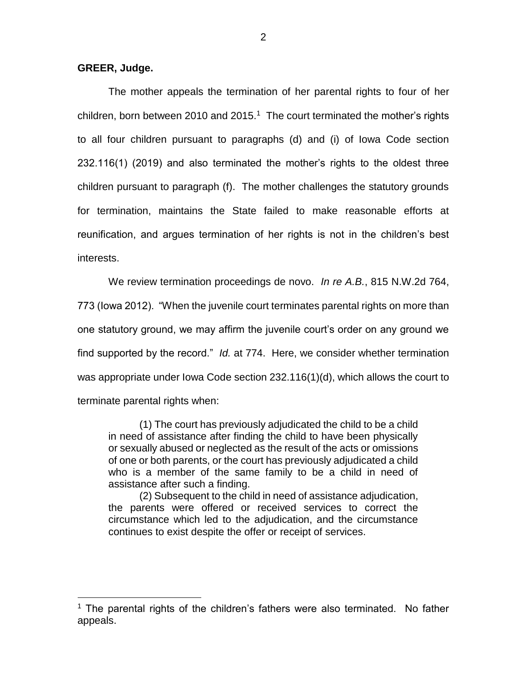## **GREER, Judge.**

 $\overline{a}$ 

The mother appeals the termination of her parental rights to four of her children, born between 2010 and 2015.<sup>1</sup> The court terminated the mother's rights to all four children pursuant to paragraphs (d) and (i) of Iowa Code section 232.116(1) (2019) and also terminated the mother's rights to the oldest three children pursuant to paragraph (f). The mother challenges the statutory grounds for termination, maintains the State failed to make reasonable efforts at reunification, and argues termination of her rights is not in the children's best interests.

We review termination proceedings de novo. *In re A.B.*, 815 N.W.2d 764, 773 (Iowa 2012). "When the juvenile court terminates parental rights on more than one statutory ground, we may affirm the juvenile court's order on any ground we find supported by the record." *Id.* at 774. Here, we consider whether termination was appropriate under Iowa Code section 232.116(1)(d), which allows the court to terminate parental rights when:

(1) The court has previously adjudicated the child to be a child in need of assistance after finding the child to have been physically or sexually abused or neglected as the result of the acts or omissions of one or both parents, or the court has previously adjudicated a child who is a member of the same family to be a child in need of assistance after such a finding.

(2) Subsequent to the child in need of assistance adjudication, the parents were offered or received services to correct the circumstance which led to the adjudication, and the circumstance continues to exist despite the offer or receipt of services.

 $1$  The parental rights of the children's fathers were also terminated. No father appeals.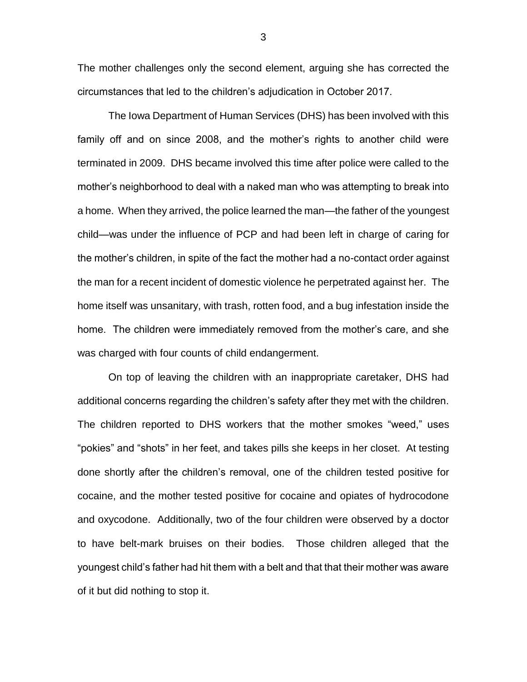The mother challenges only the second element, arguing she has corrected the circumstances that led to the children's adjudication in October 2017.

The Iowa Department of Human Services (DHS) has been involved with this family off and on since 2008, and the mother's rights to another child were terminated in 2009. DHS became involved this time after police were called to the mother's neighborhood to deal with a naked man who was attempting to break into a home. When they arrived, the police learned the man—the father of the youngest child—was under the influence of PCP and had been left in charge of caring for the mother's children, in spite of the fact the mother had a no-contact order against the man for a recent incident of domestic violence he perpetrated against her. The home itself was unsanitary, with trash, rotten food, and a bug infestation inside the home. The children were immediately removed from the mother's care, and she was charged with four counts of child endangerment.

On top of leaving the children with an inappropriate caretaker, DHS had additional concerns regarding the children's safety after they met with the children. The children reported to DHS workers that the mother smokes "weed," uses "pokies" and "shots" in her feet, and takes pills she keeps in her closet. At testing done shortly after the children's removal, one of the children tested positive for cocaine, and the mother tested positive for cocaine and opiates of hydrocodone and oxycodone. Additionally, two of the four children were observed by a doctor to have belt-mark bruises on their bodies. Those children alleged that the youngest child's father had hit them with a belt and that that their mother was aware of it but did nothing to stop it.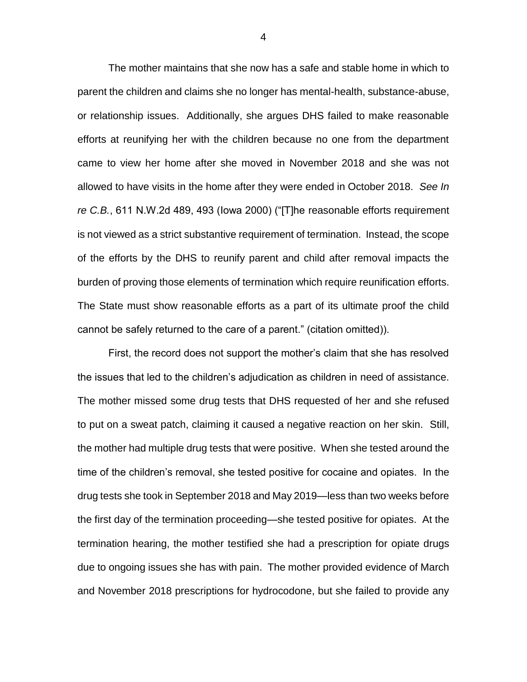The mother maintains that she now has a safe and stable home in which to parent the children and claims she no longer has mental-health, substance-abuse, or relationship issues. Additionally, she argues DHS failed to make reasonable efforts at reunifying her with the children because no one from the department came to view her home after she moved in November 2018 and she was not allowed to have visits in the home after they were ended in October 2018. *See In re C.B.*, 611 N.W.2d 489, 493 (Iowa 2000) ("[T]he reasonable efforts requirement is not viewed as a strict substantive requirement of termination. Instead, the scope of the efforts by the DHS to reunify parent and child after removal impacts the burden of proving those elements of termination which require reunification efforts. The State must show reasonable efforts as a part of its ultimate proof the child cannot be safely returned to the care of a parent." (citation omitted)).

First, the record does not support the mother's claim that she has resolved the issues that led to the children's adjudication as children in need of assistance. The mother missed some drug tests that DHS requested of her and she refused to put on a sweat patch, claiming it caused a negative reaction on her skin. Still, the mother had multiple drug tests that were positive. When she tested around the time of the children's removal, she tested positive for cocaine and opiates. In the drug tests she took in September 2018 and May 2019—less than two weeks before the first day of the termination proceeding—she tested positive for opiates. At the termination hearing, the mother testified she had a prescription for opiate drugs due to ongoing issues she has with pain. The mother provided evidence of March and November 2018 prescriptions for hydrocodone, but she failed to provide any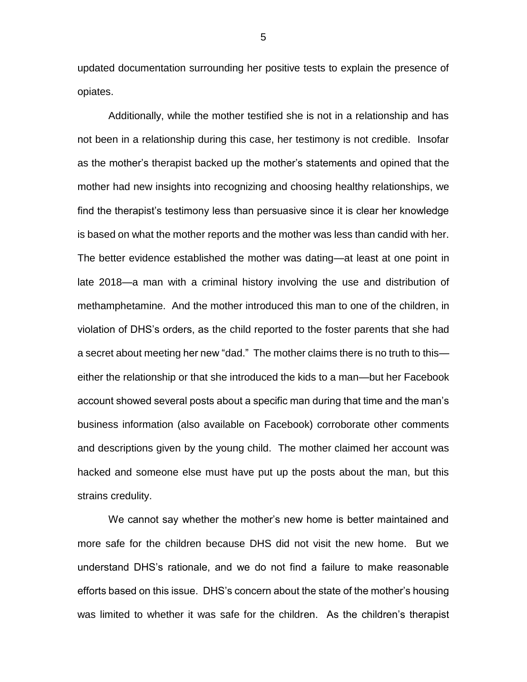updated documentation surrounding her positive tests to explain the presence of opiates.

Additionally, while the mother testified she is not in a relationship and has not been in a relationship during this case, her testimony is not credible. Insofar as the mother's therapist backed up the mother's statements and opined that the mother had new insights into recognizing and choosing healthy relationships, we find the therapist's testimony less than persuasive since it is clear her knowledge is based on what the mother reports and the mother was less than candid with her. The better evidence established the mother was dating—at least at one point in late 2018—a man with a criminal history involving the use and distribution of methamphetamine. And the mother introduced this man to one of the children, in violation of DHS's orders, as the child reported to the foster parents that she had a secret about meeting her new "dad." The mother claims there is no truth to this either the relationship or that she introduced the kids to a man—but her Facebook account showed several posts about a specific man during that time and the man's business information (also available on Facebook) corroborate other comments and descriptions given by the young child. The mother claimed her account was hacked and someone else must have put up the posts about the man, but this strains credulity.

We cannot say whether the mother's new home is better maintained and more safe for the children because DHS did not visit the new home. But we understand DHS's rationale, and we do not find a failure to make reasonable efforts based on this issue. DHS's concern about the state of the mother's housing was limited to whether it was safe for the children. As the children's therapist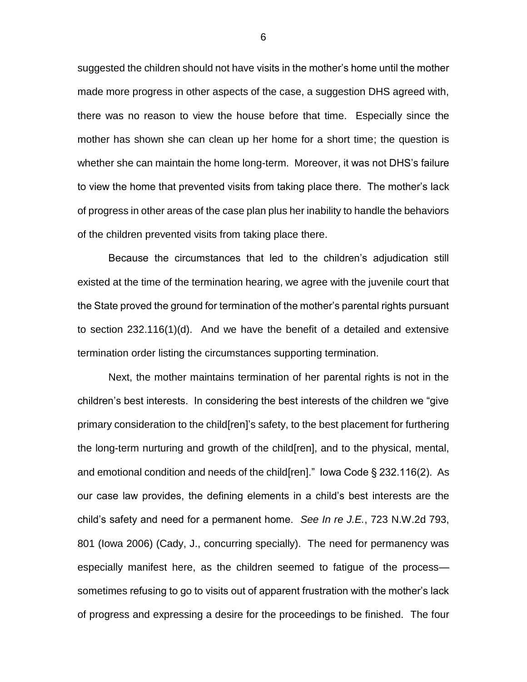suggested the children should not have visits in the mother's home until the mother made more progress in other aspects of the case, a suggestion DHS agreed with, there was no reason to view the house before that time. Especially since the mother has shown she can clean up her home for a short time; the question is whether she can maintain the home long-term. Moreover, it was not DHS's failure to view the home that prevented visits from taking place there. The mother's lack of progress in other areas of the case plan plus her inability to handle the behaviors of the children prevented visits from taking place there.

Because the circumstances that led to the children's adjudication still existed at the time of the termination hearing, we agree with the juvenile court that the State proved the ground for termination of the mother's parental rights pursuant to section 232.116(1)(d). And we have the benefit of a detailed and extensive termination order listing the circumstances supporting termination.

Next, the mother maintains termination of her parental rights is not in the children's best interests. In considering the best interests of the children we "give primary consideration to the child[ren]'s safety, to the best placement for furthering the long-term nurturing and growth of the child[ren], and to the physical, mental, and emotional condition and needs of the child[ren]." Iowa Code § 232.116(2). As our case law provides, the defining elements in a child's best interests are the child's safety and need for a permanent home. *See In re J.E.*, 723 N.W.2d 793, 801 (Iowa 2006) (Cady, J., concurring specially). The need for permanency was especially manifest here, as the children seemed to fatigue of the process sometimes refusing to go to visits out of apparent frustration with the mother's lack of progress and expressing a desire for the proceedings to be finished. The four